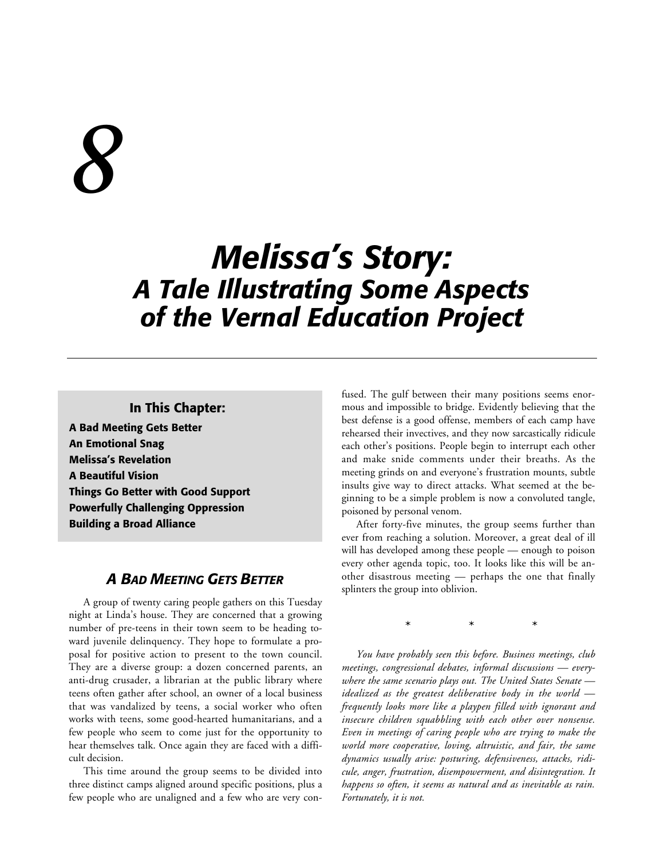# *8*

# *Melissa's Story: A Tale Illustrating Some Aspects of the Vernal Education Project*

### **In This Chapter:**

**A Bad Meeting Gets Better An Emotional Snag Melissa's Revelation A Beautiful Vision Things Go Better with Good Support Powerfully Challenging Oppression Building a Broad Alliance**

# *A BAD MEETING GETS BETTER*

A group of twenty caring people gathers on this Tuesday night at Linda's house. They are concerned that a growing number of pre-teens in their town seem to be heading toward juvenile delinquency. They hope to formulate a proposal for positive action to present to the town council. They are a diverse group: a dozen concerned parents, an anti-drug crusader, a librarian at the public library where teens often gather after school, an owner of a local business that was vandalized by teens, a social worker who often works with teens, some good-hearted humanitarians, and a few people who seem to come just for the opportunity to hear themselves talk. Once again they are faced with a difficult decision.

This time around the group seems to be divided into three distinct camps aligned around specific positions, plus a few people who are unaligned and a few who are very confused. The gulf between their many positions seems enormous and impossible to bridge. Evidently believing that the best defense is a good offense, members of each camp have rehearsed their invectives, and they now sarcastically ridicule each other's positions. People begin to interrupt each other and make snide comments under their breaths. As the meeting grinds on and everyone's frustration mounts, subtle insults give way to direct attacks. What seemed at the beginning to be a simple problem is now a convoluted tangle, poisoned by personal venom.

After forty-five minutes, the group seems further than ever from reaching a solution. Moreover, a great deal of ill will has developed among these people — enough to poison every other agenda topic, too. It looks like this will be another disastrous meeting — perhaps the one that finally splinters the group into oblivion.

\*\*\*

*You have probably seen this before. Business meetings, club meetings, congressional debates, informal discussions — everywhere the same scenario plays out. The United States Senate idealized as the greatest deliberative body in the world frequently looks more like a playpen filled with ignorant and insecure children squabbling with each other over nonsense. Even in meetings of caring people who are trying to make the world more cooperative, loving, altruistic, and fair, the same dynamics usually arise: posturing, defensiveness, attacks, ridicule, anger, frustration, disempowerment, and disintegration. It happens so often, it seems as natural and as inevitable as rain. Fortunately, it is not.*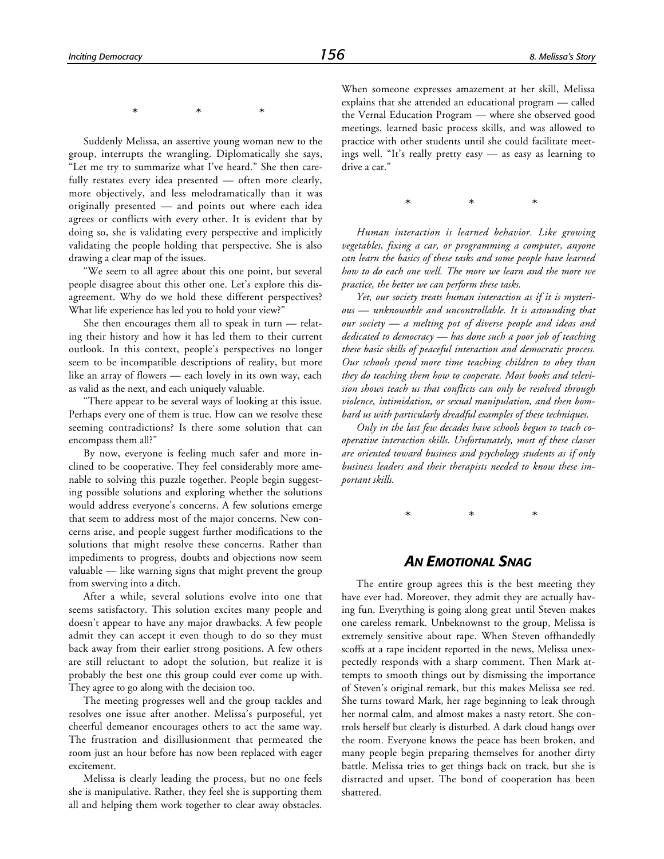\*\*\*

Suddenly Melissa, an assertive young woman new to the group, interrupts the wrangling. Diplomatically she says, "Let me try to summarize what I've heard." She then carefully restates every idea presented — often more clearly, more objectively, and less melodramatically than it was originally presented — and points out where each idea agrees or conflicts with every other. It is evident that by doing so, she is validating every perspective and implicitly validating the people holding that perspective. She is also drawing a clear map of the issues.

"We seem to all agree about this one point, but several people disagree about this other one. Let's explore this disagreement. Why do we hold these different perspectives? What life experience has led you to hold your view?"

She then encourages them all to speak in turn — relating their history and how it has led them to their current outlook. In this context, people's perspectives no longer seem to be incompatible descriptions of reality, but more like an array of flowers — each lovely in its own way, each as valid as the next, and each uniquely valuable.

"There appear to be several ways of looking at this issue. Perhaps every one of them is true. How can we resolve these seeming contradictions? Is there some solution that can encompass them all?"

By now, everyone is feeling much safer and more inclined to be cooperative. They feel considerably more amenable to solving this puzzle together. People begin suggesting possible solutions and exploring whether the solutions would address everyone's concerns. A few solutions emerge that seem to address most of the major concerns. New concerns arise, and people suggest further modifications to the solutions that might resolve these concerns. Rather than impediments to progress, doubts and objections now seem valuable — like warning signs that might prevent the group from swerving into a ditch.

After a while, several solutions evolve into one that seems satisfactory. This solution excites many people and doesn't appear to have any major drawbacks. A few people admit they can accept it even though to do so they must back away from their earlier strong positions. A few others are still reluctant to adopt the solution, but realize it is probably the best one this group could ever come up with. They agree to go along with the decision too.

The meeting progresses well and the group tackles and resolves one issue after another. Melissa's purposeful, yet cheerful demeanor encourages others to act the same way. The frustration and disillusionment that permeated the room just an hour before has now been replaced with eager excitement.

Melissa is clearly leading the process, but no one feels she is manipulative. Rather, they feel she is supporting them all and helping them work together to clear away obstacles.

When someone expresses amazement at her skill, Melissa explains that she attended an educational program — called the Vernal Education Program — where she observed good meetings, learned basic process skills, and was allowed to practice with other students until she could facilitate meetings well. "It's really pretty easy — as easy as learning to drive a car."

\*\*\*

*Human interaction is learned behavior. Like growing vegetables, fixing a car, or programming a computer, anyone can learn the basics of these tasks and some people have learned how to do each one well. The more we learn and the more we practice, the better we can perform these tasks.*

*Yet, our society treats human interaction as if it is mysterious — unknowable and uncontrollable. It is astounding that our society — a melting pot of diverse people and ideas and dedicated to democracy — has done such a poor job of teaching these basic skills of peaceful interaction and democratic process. Our schools spend more time teaching children to obey than they do teaching them how to cooperate. Most books and television shows teach us that conflicts can only be resolved through violence, intimidation, or sexual manipulation, and then bombard us with particularly dreadful examples of these techniques.*

*Only in the last few decades have schools begun to teach cooperative interaction skills. Unfortunately, most of these classes are oriented toward business and psychology students as if only business leaders and their therapists needed to know these important skills.*

\*\*\*

#### *AN EMOTIONAL SNAG*

The entire group agrees this is the best meeting they have ever had. Moreover, they admit they are actually having fun. Everything is going along great until Steven makes one careless remark. Unbeknownst to the group, Melissa is extremely sensitive about rape. When Steven offhandedly scoffs at a rape incident reported in the news, Melissa unexpectedly responds with a sharp comment. Then Mark attempts to smooth things out by dismissing the importance of Steven's original remark, but this makes Melissa see red. She turns toward Mark, her rage beginning to leak through her normal calm, and almost makes a nasty retort. She controls herself but clearly is disturbed. A dark cloud hangs over the room. Everyone knows the peace has been broken, and many people begin preparing themselves for another dirty battle. Melissa tries to get things back on track, but she is distracted and upset. The bond of cooperation has been shattered.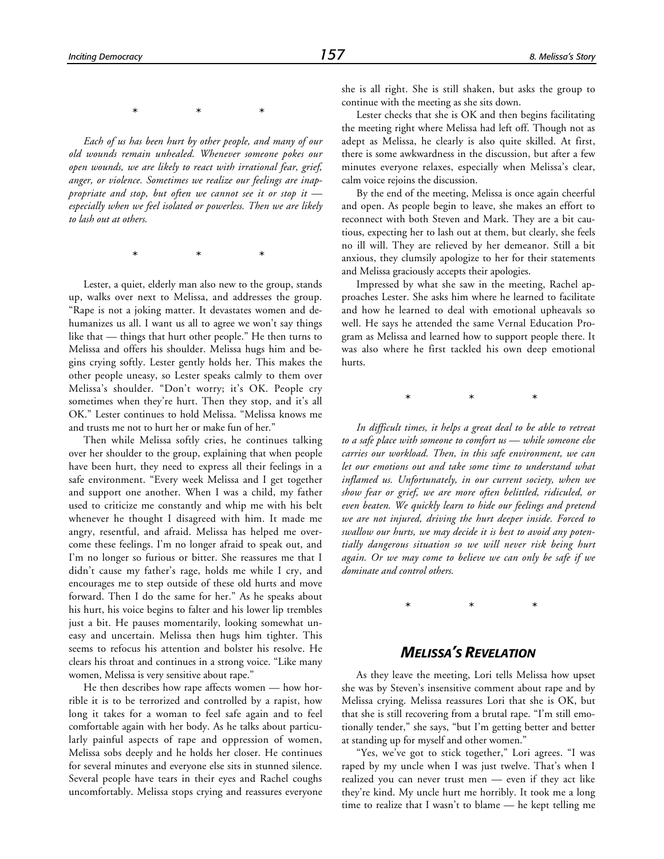\*\*\*

*Each of us has been hurt by other people, and many of our old wounds remain unhealed. Whenever someone pokes our open wounds, we are likely to react with irrational fear, grief, anger, or violence. Sometimes we realize our feelings are inappropriate and stop, but often we cannot see it or stop it especially when we feel isolated or powerless. Then we are likely to lash out at others.*

\*\*\*

Lester, a quiet, elderly man also new to the group, stands up, walks over next to Melissa, and addresses the group. "Rape is not a joking matter. It devastates women and dehumanizes us all. I want us all to agree we won't say things like that — things that hurt other people." He then turns to Melissa and offers his shoulder. Melissa hugs him and begins crying softly. Lester gently holds her. This makes the other people uneasy, so Lester speaks calmly to them over Melissa's shoulder. "Don't worry; it's OK. People cry sometimes when they're hurt. Then they stop, and it's all OK." Lester continues to hold Melissa. "Melissa knows me and trusts me not to hurt her or make fun of her."

Then while Melissa softly cries, he continues talking over her shoulder to the group, explaining that when people have been hurt, they need to express all their feelings in a safe environment. "Every week Melissa and I get together and support one another. When I was a child, my father used to criticize me constantly and whip me with his belt whenever he thought I disagreed with him. It made me angry, resentful, and afraid. Melissa has helped me overcome these feelings. I'm no longer afraid to speak out, and I'm no longer so furious or bitter. She reassures me that I didn't cause my father's rage, holds me while I cry, and encourages me to step outside of these old hurts and move forward. Then I do the same for her." As he speaks about his hurt, his voice begins to falter and his lower lip trembles just a bit. He pauses momentarily, looking somewhat uneasy and uncertain. Melissa then hugs him tighter. This seems to refocus his attention and bolster his resolve. He clears his throat and continues in a strong voice. "Like many women, Melissa is very sensitive about rape."

He then describes how rape affects women — how horrible it is to be terrorized and controlled by a rapist, how long it takes for a woman to feel safe again and to feel comfortable again with her body. As he talks about particularly painful aspects of rape and oppression of women, Melissa sobs deeply and he holds her closer. He continues for several minutes and everyone else sits in stunned silence. Several people have tears in their eyes and Rachel coughs uncomfortably. Melissa stops crying and reassures everyone she is all right. She is still shaken, but asks the group to continue with the meeting as she sits down.

Lester checks that she is OK and then begins facilitating the meeting right where Melissa had left off. Though not as adept as Melissa, he clearly is also quite skilled. At first, there is some awkwardness in the discussion, but after a few minutes everyone relaxes, especially when Melissa's clear, calm voice rejoins the discussion.

By the end of the meeting, Melissa is once again cheerful and open. As people begin to leave, she makes an effort to reconnect with both Steven and Mark. They are a bit cautious, expecting her to lash out at them, but clearly, she feels no ill will. They are relieved by her demeanor. Still a bit anxious, they clumsily apologize to her for their statements and Melissa graciously accepts their apologies.

Impressed by what she saw in the meeting, Rachel approaches Lester. She asks him where he learned to facilitate and how he learned to deal with emotional upheavals so well. He says he attended the same Vernal Education Program as Melissa and learned how to support people there. It was also where he first tackled his own deep emotional hurts.

\*\*\*

*In difficult times, it helps a great deal to be able to retreat to a safe place with someone to comfort us — while someone else carries our workload. Then, in this safe environment, we can let our emotions out and take some time to understand what inflamed us. Unfortunately, in our current society, when we show fear or grief, we are more often belittled, ridiculed, or even beaten. We quickly learn to hide our feelings and pretend we are not injured, driving the hurt deeper inside. Forced to swallow our hurts, we may decide it is best to avoid any potentially dangerous situation so we will never risk being hurt again. Or we may come to believe we can only be safe if we dominate and control others.*

\*\*\*

## *MELISSA'S REVELATION*

As they leave the meeting, Lori tells Melissa how upset she was by Steven's insensitive comment about rape and by Melissa crying. Melissa reassures Lori that she is OK, but that she is still recovering from a brutal rape. "I'm still emotionally tender," she says, "but I'm getting better and better at standing up for myself and other women."

"Yes, we've got to stick together," Lori agrees. "I was raped by my uncle when I was just twelve. That's when I realized you can never trust men — even if they act like they're kind. My uncle hurt me horribly. It took me a long time to realize that I wasn't to blame — he kept telling me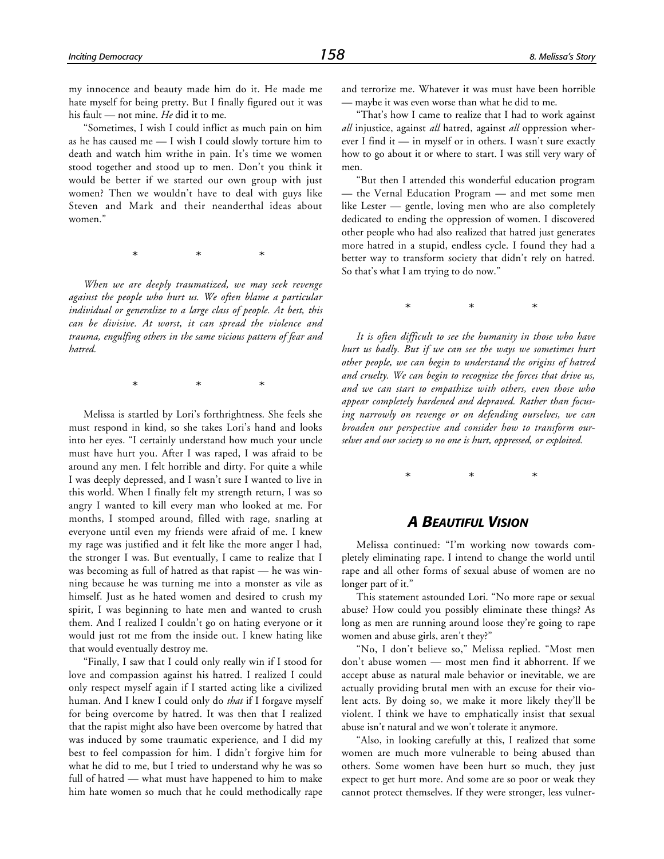my innocence and beauty made him do it. He made me hate myself for being pretty. But I finally figured out it was his fault — not mine. *He* did it to me.

"Sometimes, I wish I could inflict as much pain on him as he has caused me — I wish I could slowly torture him to death and watch him writhe in pain. It's time we women stood together and stood up to men. Don't you think it would be better if we started our own group with just women? Then we wouldn't have to deal with guys like Steven and Mark and their neanderthal ideas about women."

\*\*\*

*When we are deeply traumatized, we may seek revenge against the people who hurt us. We often blame a particular individual or generalize to a large class of people. At best, this can be divisive. At worst, it can spread the violence and trauma, engulfing others in the same vicious pattern of fear and hatred.*

\*\*\*

Melissa is startled by Lori's forthrightness. She feels she must respond in kind, so she takes Lori's hand and looks into her eyes. "I certainly understand how much your uncle must have hurt you. After I was raped, I was afraid to be around any men. I felt horrible and dirty. For quite a while I was deeply depressed, and I wasn't sure I wanted to live in this world. When I finally felt my strength return, I was so angry I wanted to kill every man who looked at me. For months, I stomped around, filled with rage, snarling at everyone until even my friends were afraid of me. I knew my rage was justified and it felt like the more anger I had, the stronger I was. But eventually, I came to realize that I was becoming as full of hatred as that rapist — he was winning because he was turning me into a monster as vile as himself. Just as he hated women and desired to crush my spirit, I was beginning to hate men and wanted to crush them. And I realized I couldn't go on hating everyone or it would just rot me from the inside out. I knew hating like that would eventually destroy me.

"Finally, I saw that I could only really win if I stood for love and compassion against his hatred. I realized I could only respect myself again if I started acting like a civilized human. And I knew I could only do *that* if I forgave myself for being overcome by hatred. It was then that I realized that the rapist might also have been overcome by hatred that was induced by some traumatic experience, and I did my best to feel compassion for him. I didn't forgive him for what he did to me, but I tried to understand why he was so full of hatred — what must have happened to him to make him hate women so much that he could methodically rape

and terrorize me. Whatever it was must have been horrible — maybe it was even worse than what he did to me.

"That's how I came to realize that I had to work against *all* injustice, against *all* hatred, against *all* oppression wherever I find it — in myself or in others. I wasn't sure exactly how to go about it or where to start. I was still very wary of men.

"But then I attended this wonderful education program — the Vernal Education Program — and met some men like Lester — gentle, loving men who are also completely dedicated to ending the oppression of women. I discovered other people who had also realized that hatred just generates more hatred in a stupid, endless cycle. I found they had a better way to transform society that didn't rely on hatred. So that's what I am trying to do now."

\*\*\*

*It is often difficult to see the humanity in those who have hurt us badly. But if we can see the ways we sometimes hurt other people, we can begin to understand the origins of hatred and cruelty. We can begin to recognize the forces that drive us, and we can start to empathize with others, even those who appear completely hardened and depraved. Rather than focusing narrowly on revenge or on defending ourselves, we can broaden our perspective and consider how to transform ourselves and our society so no one is hurt, oppressed, or exploited.*

\*\*\*

#### *A BEAUTIFUL VISION*

Melissa continued: "I'm working now towards completely eliminating rape. I intend to change the world until rape and all other forms of sexual abuse of women are no longer part of it."

This statement astounded Lori. "No more rape or sexual abuse? How could you possibly eliminate these things? As long as men are running around loose they're going to rape women and abuse girls, aren't they?"

"No, I don't believe so," Melissa replied. "Most men don't abuse women — most men find it abhorrent. If we accept abuse as natural male behavior or inevitable, we are actually providing brutal men with an excuse for their violent acts. By doing so, we make it more likely they'll be violent. I think we have to emphatically insist that sexual abuse isn't natural and we won't tolerate it anymore.

"Also, in looking carefully at this, I realized that some women are much more vulnerable to being abused than others. Some women have been hurt so much, they just expect to get hurt more. And some are so poor or weak they cannot protect themselves. If they were stronger, less vulner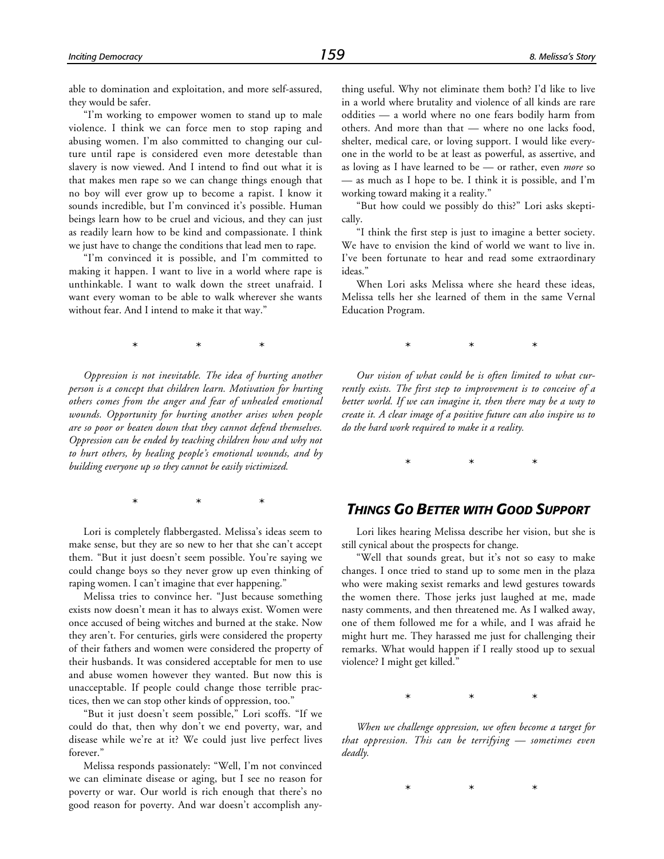able to domination and exploitation, and more self-assured, they would be safer.

"I'm working to empower women to stand up to male violence. I think we can force men to stop raping and abusing women. I'm also committed to changing our culture until rape is considered even more detestable than slavery is now viewed. And I intend to find out what it is that makes men rape so we can change things enough that no boy will ever grow up to become a rapist. I know it sounds incredible, but I'm convinced it's possible. Human beings learn how to be cruel and vicious, and they can just as readily learn how to be kind and compassionate. I think we just have to change the conditions that lead men to rape.

"I'm convinced it is possible, and I'm committed to making it happen. I want to live in a world where rape is unthinkable. I want to walk down the street unafraid. I want every woman to be able to walk wherever she wants without fear. And I intend to make it that way."

\*\*\*

*Oppression is not inevitable. The idea of hurting another person is a concept that children learn. Motivation for hurting others comes from the anger and fear of unhealed emotional wounds. Opportunity for hurting another arises when people are so poor or beaten down that they cannot defend themselves. Oppression can be ended by teaching children how and why not to hurt others, by healing people's emotional wounds, and by building everyone up so they cannot be easily victimized.*

\*\*\*

Lori is completely flabbergasted. Melissa's ideas seem to make sense, but they are so new to her that she can't accept them. "But it just doesn't seem possible. You're saying we could change boys so they never grow up even thinking of raping women. I can't imagine that ever happening."

Melissa tries to convince her. "Just because something exists now doesn't mean it has to always exist. Women were once accused of being witches and burned at the stake. Now they aren't. For centuries, girls were considered the property of their fathers and women were considered the property of their husbands. It was considered acceptable for men to use and abuse women however they wanted. But now this is unacceptable. If people could change those terrible practices, then we can stop other kinds of oppression, too."

"But it just doesn't seem possible," Lori scoffs. "If we could do that, then why don't we end poverty, war, and disease while we're at it? We could just live perfect lives forever."

Melissa responds passionately: "Well, I'm not convinced we can eliminate disease or aging, but I see no reason for poverty or war. Our world is rich enough that there's no good reason for poverty. And war doesn't accomplish any-

thing useful. Why not eliminate them both? I'd like to live in a world where brutality and violence of all kinds are rare oddities — a world where no one fears bodily harm from others. And more than that — where no one lacks food, shelter, medical care, or loving support. I would like everyone in the world to be at least as powerful, as assertive, and as loving as I have learned to be — or rather, even *more* so — as much as I hope to be. I think it is possible, and I'm working toward making it a reality."

"But how could we possibly do this?" Lori asks skeptically.

"I think the first step is just to imagine a better society. We have to envision the kind of world we want to live in. I've been fortunate to hear and read some extraordinary ideas."

When Lori asks Melissa where she heard these ideas, Melissa tells her she learned of them in the same Vernal Education Program.

\*\*\*

*Our vision of what could be is often limited to what currently exists. The first step to improvement is to conceive of a better world. If we can imagine it, then there may be a way to create it. A clear image of a positive future can also inspire us to do the hard work required to make it a reality.*

\*\*\*

# *THINGS GO BETTER WITH GOOD SUPPORT*

Lori likes hearing Melissa describe her vision, but she is still cynical about the prospects for change.

"Well that sounds great, but it's not so easy to make changes. I once tried to stand up to some men in the plaza who were making sexist remarks and lewd gestures towards the women there. Those jerks just laughed at me, made nasty comments, and then threatened me. As I walked away, one of them followed me for a while, and I was afraid he might hurt me. They harassed me just for challenging their remarks. What would happen if I really stood up to sexual violence? I might get killed."

\*\*\*

*When we challenge oppression, we often become a target for that oppression. This can be terrifying — sometimes even deadly.*

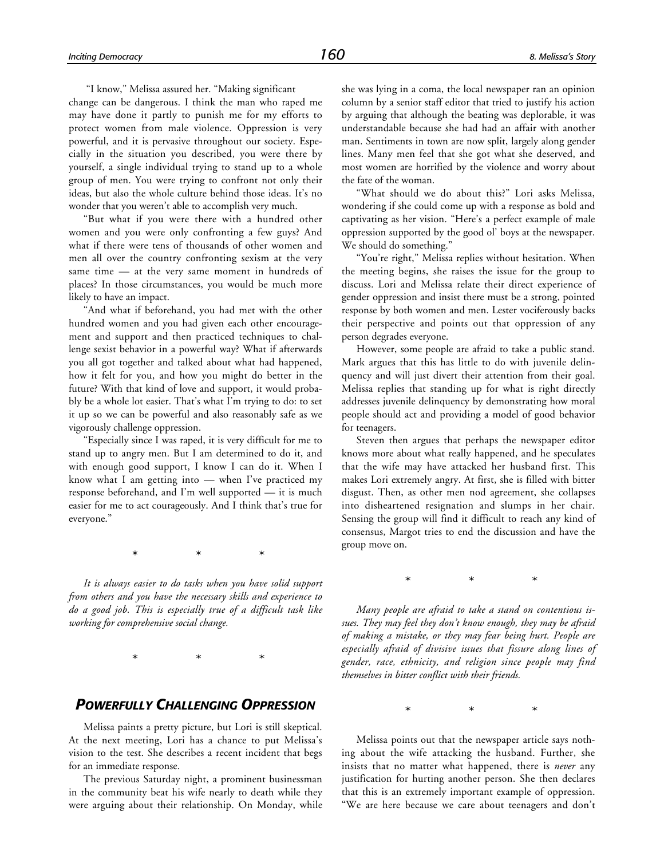"I know," Melissa assured her. "Making significant

change can be dangerous. I think the man who raped me may have done it partly to punish me for my efforts to protect women from male violence. Oppression is very powerful, and it is pervasive throughout our society. Especially in the situation you described, you were there by yourself, a single individual trying to stand up to a whole group of men. You were trying to confront not only their ideas, but also the whole culture behind those ideas. It's no wonder that you weren't able to accomplish very much.

"But what if you were there with a hundred other women and you were only confronting a few guys? And what if there were tens of thousands of other women and men all over the country confronting sexism at the very same time — at the very same moment in hundreds of places? In those circumstances, you would be much more likely to have an impact.

"And what if beforehand, you had met with the other hundred women and you had given each other encouragement and support and then practiced techniques to challenge sexist behavior in a powerful way? What if afterwards you all got together and talked about what had happened, how it felt for you, and how you might do better in the future? With that kind of love and support, it would probably be a whole lot easier. That's what I'm trying to do: to set it up so we can be powerful and also reasonably safe as we vigorously challenge oppression.

"Especially since I was raped, it is very difficult for me to stand up to angry men. But I am determined to do it, and with enough good support, I know I can do it. When I know what I am getting into — when I've practiced my response beforehand, and I'm well supported — it is much easier for me to act courageously. And I think that's true for everyone."

\*\*\*

*It is always easier to do tasks when you have solid support from others and you have the necessary skills and experience to do a good job. This is especially true of a difficult task like working for comprehensive social change.*

\*\*\*

#### *POWERFULLY CHALLENGING OPPRESSION*

Melissa paints a pretty picture, but Lori is still skeptical. At the next meeting, Lori has a chance to put Melissa's vision to the test. She describes a recent incident that begs for an immediate response.

The previous Saturday night, a prominent businessman in the community beat his wife nearly to death while they were arguing about their relationship. On Monday, while she was lying in a coma, the local newspaper ran an opinion column by a senior staff editor that tried to justify his action by arguing that although the beating was deplorable, it was understandable because she had had an affair with another man. Sentiments in town are now split, largely along gender lines. Many men feel that she got what she deserved, and most women are horrified by the violence and worry about the fate of the woman.

"What should we do about this?" Lori asks Melissa, wondering if she could come up with a response as bold and captivating as her vision. "Here's a perfect example of male oppression supported by the good ol' boys at the newspaper. We should do something."

"You're right," Melissa replies without hesitation. When the meeting begins, she raises the issue for the group to discuss. Lori and Melissa relate their direct experience of gender oppression and insist there must be a strong, pointed response by both women and men. Lester vociferously backs their perspective and points out that oppression of any person degrades everyone.

However, some people are afraid to take a public stand. Mark argues that this has little to do with juvenile delinquency and will just divert their attention from their goal. Melissa replies that standing up for what is right directly addresses juvenile delinquency by demonstrating how moral people should act and providing a model of good behavior for teenagers.

Steven then argues that perhaps the newspaper editor knows more about what really happened, and he speculates that the wife may have attacked her husband first. This makes Lori extremely angry. At first, she is filled with bitter disgust. Then, as other men nod agreement, she collapses into disheartened resignation and slumps in her chair. Sensing the group will find it difficult to reach any kind of consensus, Margot tries to end the discussion and have the group move on.

\*\*\*

*Many people are afraid to take a stand on contentious issues. They may feel they don't know enough, they may be afraid of making a mistake, or they may fear being hurt. People are especially afraid of divisive issues that fissure along lines of gender, race, ethnicity, and religion since people may find themselves in bitter conflict with their friends.*

\*\*\*

Melissa points out that the newspaper article says nothing about the wife attacking the husband. Further, she insists that no matter what happened, there is *never* any justification for hurting another person. She then declares that this is an extremely important example of oppression. "We are here because we care about teenagers and don't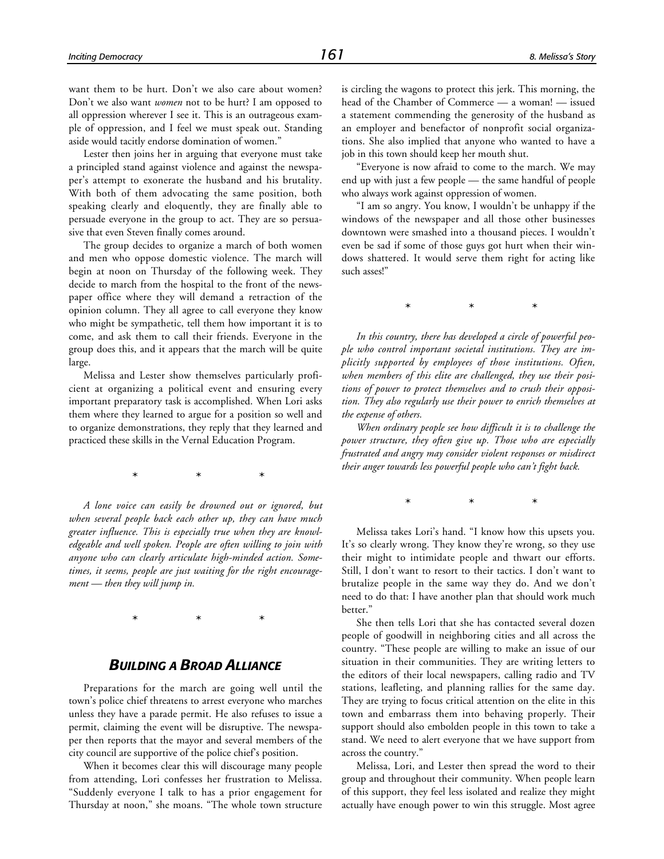want them to be hurt. Don't we also care about women? Don't we also want *women* not to be hurt? I am opposed to all oppression wherever I see it. This is an outrageous example of oppression, and I feel we must speak out. Standing aside would tacitly endorse domination of women."

Lester then joins her in arguing that everyone must take a principled stand against violence and against the newspaper's attempt to exonerate the husband and his brutality. With both of them advocating the same position, both speaking clearly and eloquently, they are finally able to persuade everyone in the group to act. They are so persuasive that even Steven finally comes around.

The group decides to organize a march of both women and men who oppose domestic violence. The march will begin at noon on Thursday of the following week. They decide to march from the hospital to the front of the newspaper office where they will demand a retraction of the opinion column. They all agree to call everyone they know who might be sympathetic, tell them how important it is to come, and ask them to call their friends. Everyone in the group does this, and it appears that the march will be quite large.

Melissa and Lester show themselves particularly proficient at organizing a political event and ensuring every important preparatory task is accomplished. When Lori asks them where they learned to argue for a position so well and to organize demonstrations, they reply that they learned and practiced these skills in the Vernal Education Program.

\*\*\*

*A lone voice can easily be drowned out or ignored, but when several people back each other up, they can have much greater influence. This is especially true when they are knowledgeable and well spoken. People are often willing to join with anyone who can clearly articulate high-minded action. Sometimes, it seems, people are just waiting for the right encouragement — then they will jump in.*

\*\*\*

#### *BUILDING A BROAD ALLIANCE*

Preparations for the march are going well until the town's police chief threatens to arrest everyone who marches unless they have a parade permit. He also refuses to issue a permit, claiming the event will be disruptive. The newspaper then reports that the mayor and several members of the city council are supportive of the police chief's position.

When it becomes clear this will discourage many people from attending, Lori confesses her frustration to Melissa. "Suddenly everyone I talk to has a prior engagement for Thursday at noon," she moans. "The whole town structure is circling the wagons to protect this jerk. This morning, the head of the Chamber of Commerce — a woman! — issued a statement commending the generosity of the husband as an employer and benefactor of nonprofit social organizations. She also implied that anyone who wanted to have a job in this town should keep her mouth shut.

"Everyone is now afraid to come to the march. We may end up with just a few people — the same handful of people who always work against oppression of women.

"I am so angry. You know, I wouldn't be unhappy if the windows of the newspaper and all those other businesses downtown were smashed into a thousand pieces. I wouldn't even be sad if some of those guys got hurt when their windows shattered. It would serve them right for acting like such asses!"

\*\*\*

*In this country, there has developed a circle of powerful people who control important societal institutions. They are implicitly supported by employees of those institutions. Often, when members of this elite are challenged, they use their positions of power to protect themselves and to crush their opposition. They also regularly use their power to enrich themselves at the expense of others.*

*When ordinary people see how difficult it is to challenge the power structure, they often give up. Those who are especially frustrated and angry may consider violent responses or misdirect their anger towards less powerful people who can't fight back.*

\*\*\*

Melissa takes Lori's hand. "I know how this upsets you. It's so clearly wrong. They know they're wrong, so they use their might to intimidate people and thwart our efforts. Still, I don't want to resort to their tactics. I don't want to brutalize people in the same way they do. And we don't need to do that: I have another plan that should work much better."

She then tells Lori that she has contacted several dozen people of goodwill in neighboring cities and all across the country. "These people are willing to make an issue of our situation in their communities. They are writing letters to the editors of their local newspapers, calling radio and TV stations, leafleting, and planning rallies for the same day. They are trying to focus critical attention on the elite in this town and embarrass them into behaving properly. Their support should also embolden people in this town to take a stand. We need to alert everyone that we have support from across the country."

Melissa, Lori, and Lester then spread the word to their group and throughout their community. When people learn of this support, they feel less isolated and realize they might actually have enough power to win this struggle. Most agree